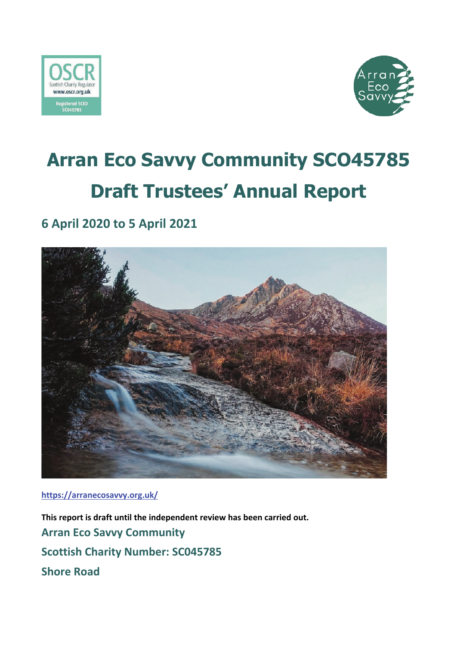



## **Arran Eco Savvy Community SCO45785 Draft Trustees' Annual Report**

## **6 April 2020 to 5 April 2021**



**https://arranecosavvy.org.uk/**

**This report is draft until the independent review has been carried out. Arran Eco Savvy Community Scottish Charity Number: SC045785 Shore Road**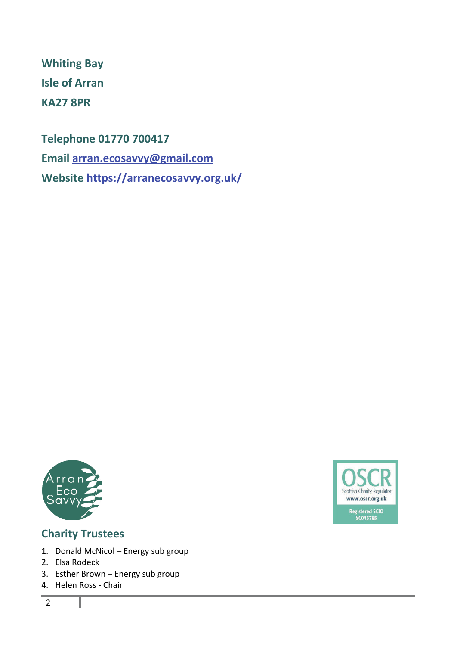**Whiting Bay Isle of Arran KA27 8PR**

**Telephone 01770 700417**

**Email arran.ecosavvy@gmail.com**

**Website https://arranecosavvy.org.uk/**





#### **Charity Trustees**

- 1. Donald McNicol Energy sub group
- 2. Elsa Rodeck
- 3. Esther Brown Energy sub group
- 4. Helen Ross Chair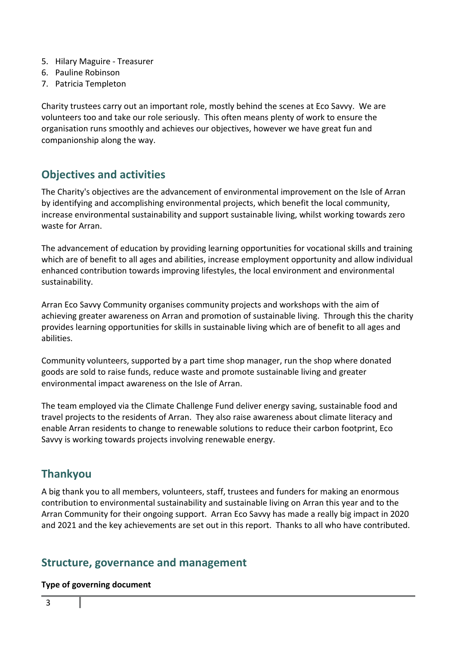- 5. Hilary Maguire Treasurer
- 6. Pauline Robinson
- 7. Patricia Templeton

Charity trustees carry out an important role, mostly behind the scenes at Eco Savvy. We are volunteers too and take our role seriously. This often means plenty of work to ensure the organisation runs smoothly and achieves our objectives, however we have great fun and companionship along the way.

#### **Objectives and activities**

The Charity's objectives are the advancement of environmental improvement on the Isle of Arran by identifying and accomplishing environmental projects, which benefit the local community, increase environmental sustainability and support sustainable living, whilst working towards zero waste for Arran.

The advancement of education by providing learning opportunities for vocational skills and training which are of benefit to all ages and abilities, increase employment opportunity and allow individual enhanced contribution towards improving lifestyles, the local environment and environmental sustainability.

Arran Eco Savvy Community organises community projects and workshops with the aim of achieving greater awareness on Arran and promotion of sustainable living. Through this the charity provides learning opportunities for skills in sustainable living which are of benefit to all ages and abilities.

Community volunteers, supported by a part time shop manager, run the shop where donated goods are sold to raise funds, reduce waste and promote sustainable living and greater environmental impact awareness on the Isle of Arran.

The team employed via the Climate Challenge Fund deliver energy saving, sustainable food and travel projects to the residents of Arran. They also raise awareness about climate literacy and enable Arran residents to change to renewable solutions to reduce their carbon footprint, Eco Savvy is working towards projects involving renewable energy.

### **Thankyou**

A big thank you to all members, volunteers, staff, trustees and funders for making an enormous contribution to environmental sustainability and sustainable living on Arran this year and to the Arran Community for their ongoing support. Arran Eco Savvy has made a really big impact in 2020 and 2021 and the key achievements are set out in this report. Thanks to all who have contributed.

#### **Structure, governance and management**

#### **Type of governing document**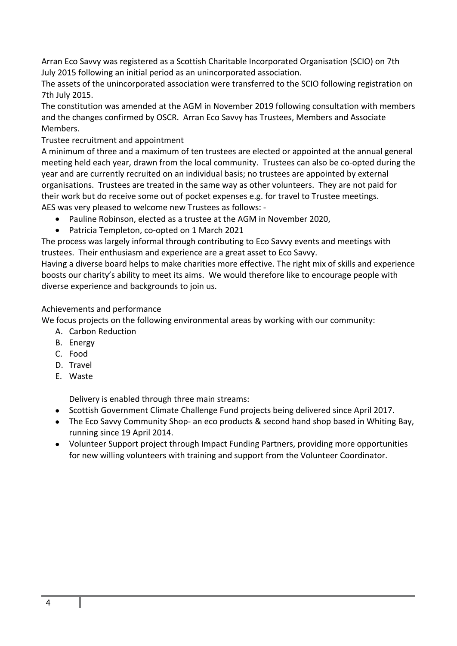Arran Eco Savvy was registered as a Scottish Charitable Incorporated Organisation (SCIO) on 7th July 2015 following an initial period as an unincorporated association.

The assets of the unincorporated association were transferred to the SCIO following registration on 7th July 2015.

The constitution was amended at the AGM in November 2019 following consultation with members and the changes confirmed by OSCR. Arran Eco Savvy has Trustees, Members and Associate Members.

#### Trustee recruitment and appointment

A minimum of three and a maximum of ten trustees are elected or appointed at the annual general meeting held each year, drawn from the local community. Trustees can also be co-opted during the year and are currently recruited on an individual basis; no trustees are appointed by external organisations. Trustees are treated in the same way as other volunteers. They are not paid for their work but do receive some out of pocket expenses e.g. for travel to Trustee meetings. AES was very pleased to welcome new Trustees as follows: -

- Pauline Robinson, elected as a trustee at the AGM in November 2020,
- Patricia Templeton, co-opted on 1 March 2021

The process was largely informal through contributing to Eco Savvy events and meetings with trustees. Their enthusiasm and experience are a great asset to Eco Savvy.

Having a diverse board helps to make charities more effective. The right mix of skills and experience boosts our charity's ability to meet its aims. We would therefore like to encourage people with diverse experience and backgrounds to join us.

#### Achievements and performance

We focus projects on the following environmental areas by working with our community:

- A. Carbon Reduction
- B. Energy
- C. Food
- D. Travel
- E. Waste

Delivery is enabled through three main streams:

- Scottish Government Climate Challenge Fund projects being delivered since April 2017.
- The Eco Savvy Community Shop- an eco products & second hand shop based in Whiting Bay, running since 19 April 2014.
- Volunteer Support project through Impact Funding Partners, providing more opportunities for new willing volunteers with training and support from the Volunteer Coordinator.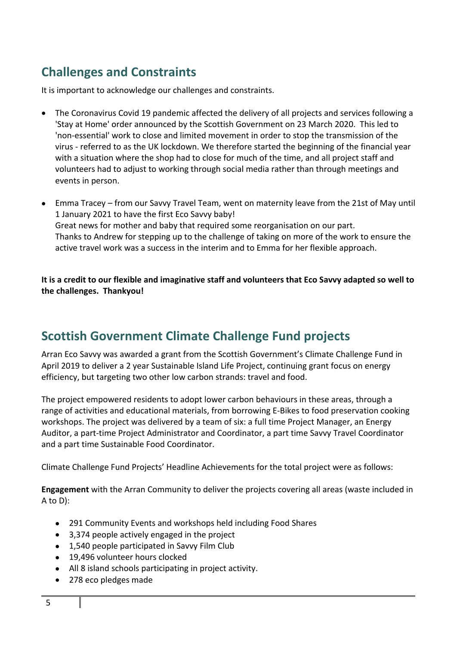## **Challenges and Constraints**

It is important to acknowledge our challenges and constraints.

- The Coronavirus Covid 19 pandemic affected the delivery of all projects and services following a 'Stay at Home' order announced by the Scottish Government on 23 March 2020. This led to 'non-essential' work to close and limited movement in order to stop the transmission of the virus - referred to as the UK lockdown. We therefore started the beginning of the financial year with a situation where the shop had to close for much of the time, and all project staff and volunteers had to adjust to working through social media rather than through meetings and events in person.
- Emma Tracey from our Savvy Travel Team, went on maternity leave from the 21st of May until 1 January 2021 to have the first Eco Savvy baby! Great news for mother and baby that required some reorganisation on our part. Thanks to Andrew for stepping up to the challenge of taking on more of the work to ensure the active travel work was a success in the interim and to Emma for her flexible approach.

**It is a credit to our flexible and imaginative staff and volunteers that Eco Savvy adapted so well to the challenges. Thankyou!**

## **Scottish Government Climate Challenge Fund projects**

Arran Eco Savvy was awarded a grant from the Scottish Government's Climate Challenge Fund in April 2019 to deliver a 2 year Sustainable Island Life Project, continuing grant focus on energy efficiency, but targeting two other low carbon strands: travel and food.

The project empowered residents to adopt lower carbon behaviours in these areas, through a range of activities and educational materials, from borrowing E-Bikes to food preservation cooking workshops. The project was delivered by a team of six: a full time Project Manager, an Energy Auditor, a part-time Project Administrator and Coordinator, a part time Savvy Travel Coordinator and a part time Sustainable Food Coordinator.

Climate Challenge Fund Projects' Headline Achievements for the total project were as follows:

**Engagement** with the Arran Community to deliver the projects covering all areas (waste included in A to D):

- 291 Community Events and workshops held including Food Shares
- 3,374 people actively engaged in the project
- 1,540 people participated in Savvy Film Club
- 19,496 volunteer hours clocked
- All 8 island schools participating in project activity.
- 278 eco pledges made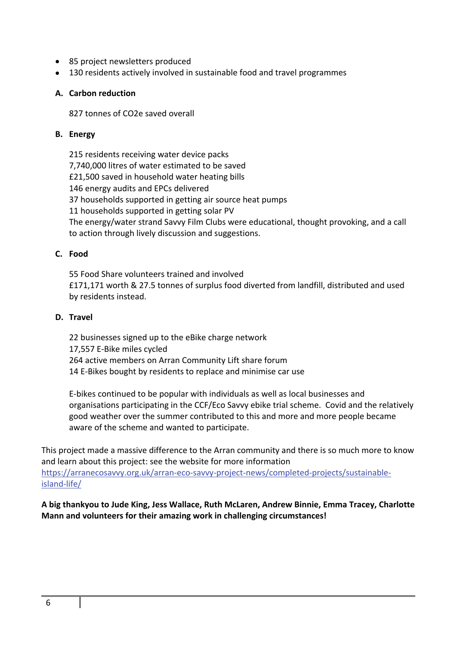- 85 project newsletters produced
- 130 residents actively involved in sustainable food and travel programmes

#### **A. Carbon reduction**

827 tonnes of CO2e saved overall

#### **B. Energy**

215 residents receiving water device packs 7,740,000 litres of water estimated to be saved £21,500 saved in household water heating bills 146 energy audits and EPCs delivered 37 households supported in getting air source heat pumps 11 households supported in getting solar PV The energy/water strand Savvy Film Clubs were educational, thought provoking, and a call to action through lively discussion and suggestions.

#### **C. Food**

55 Food Share volunteers trained and involved £171,171 worth & 27.5 tonnes of surplus food diverted from landfill, distributed and used by residents instead.

#### **D. Travel**

22 businesses signed up to the eBike charge network 17,557 E-Bike miles cycled 264 active members on Arran Community Lift share forum 14 E-Bikes bought by residents to replace and minimise car use

E-bikes continued to be popular with individuals as well as local businesses and organisations participating in the CCF/Eco Savvy ebike trial scheme. Covid and the relatively good weather over the summer contributed to this and more and more people became aware of the scheme and wanted to participate.

This project made a massive difference to the Arran community and there is so much more to know and learn about this project: see the website for more information https://arranecosavvy.org.uk/arran-eco-savvy-project-news/completed-projects/sustainableisland-life/

**A big thankyou to Jude King, Jess Wallace, Ruth McLaren, Andrew Binnie, Emma Tracey, Charlotte Mann and volunteers for their amazing work in challenging circumstances!**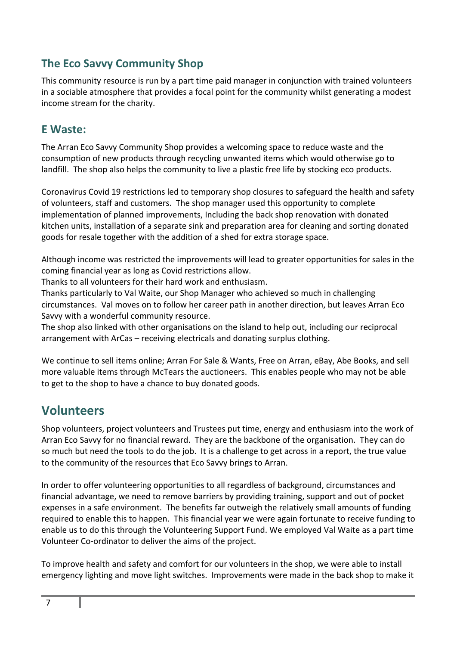### **The Eco Savvy Community Shop**

This community resource is run by a part time paid manager in conjunction with trained volunteers in a sociable atmosphere that provides a focal point for the community whilst generating a modest income stream for the charity.

#### **E Waste:**

The Arran Eco Savvy Community Shop provides a welcoming space to reduce waste and the consumption of new products through recycling unwanted items which would otherwise go to landfill. The shop also helps the community to live a plastic free life by stocking eco products.

Coronavirus Covid 19 restrictions led to temporary shop closures to safeguard the health and safety of volunteers, staff and customers. The shop manager used this opportunity to complete implementation of planned improvements, Including the back shop renovation with donated kitchen units, installation of a separate sink and preparation area for cleaning and sorting donated goods for resale together with the addition of a shed for extra storage space.

Although income was restricted the improvements will lead to greater opportunities for sales in the coming financial year as long as Covid restrictions allow.

Thanks to all volunteers for their hard work and enthusiasm.

Thanks particularly to Val Waite, our Shop Manager who achieved so much in challenging circumstances. Val moves on to follow her career path in another direction, but leaves Arran Eco Savvy with a wonderful community resource.

The shop also linked with other organisations on the island to help out, including our reciprocal arrangement with ArCas – receiving electricals and donating surplus clothing.

We continue to sell items online; Arran For Sale & Wants, Free on Arran, eBay, Abe Books, and sell more valuable items through McTears the auctioneers. This enables people who may not be able to get to the shop to have a chance to buy donated goods.

## **Volunteers**

Shop volunteers, project volunteers and Trustees put time, energy and enthusiasm into the work of Arran Eco Savvy for no financial reward. They are the backbone of the organisation. They can do so much but need the tools to do the job. It is a challenge to get across in a report, the true value to the community of the resources that Eco Savvy brings to Arran.

In order to offer volunteering opportunities to all regardless of background, circumstances and financial advantage, we need to remove barriers by providing training, support and out of pocket expenses in a safe environment. The benefits far outweigh the relatively small amounts of funding required to enable this to happen. This financial year we were again fortunate to receive funding to enable us to do this through the Volunteering Support Fund. We employed Val Waite as a part time Volunteer Co-ordinator to deliver the aims of the project.

To improve health and safety and comfort for our volunteers in the shop, we were able to install emergency lighting and move light switches. Improvements were made in the back shop to make it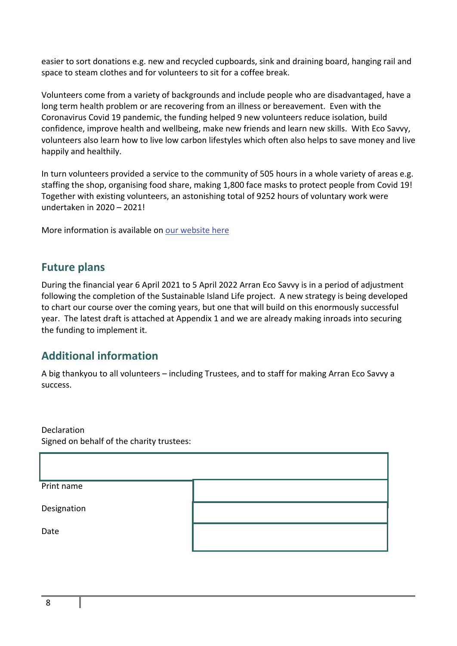easier to sort donations e.g. new and recycled cupboards, sink and draining board, hanging rail and space to steam clothes and for volunteers to sit for a coffee break.

Volunteers come from a variety of backgrounds and include people who are disadvantaged, have a long term health problem or are recovering from an illness or bereavement. Even with the Coronavirus Covid 19 pandemic, the funding helped 9 new volunteers reduce isolation, build confidence, improve health and wellbeing, make new friends and learn new skills. With Eco Savvy, volunteers also learn how to live low carbon lifestyles which often also helps to save money and live happily and healthily.

In turn volunteers provided a service to the community of 505 hours in a whole variety of areas e.g. staffing the shop, organising food share, making 1,800 face masks to protect people from Covid 19! Together with existing volunteers, an astonishing total of 9252 hours of voluntary work were undertaken in 2020 – 2021!

More information is available on our website here

#### **Future plans**

During the financial year 6 April 2021 to 5 April 2022 Arran Eco Savvy is in a period of adjustment following the completion of the Sustainable Island Life project. A new strategy is being developed to chart our course over the coming years, but one that will build on this enormously successful year. The latest draft is attached at Appendix 1 and we are already making inroads into securing the funding to implement it.

#### **Additional information**

A big thankyou to all volunteers – including Trustees, and to staff for making Arran Eco Savvy a success.

Declaration Signed on behalf of the charity trustees:

| Print name  |  |
|-------------|--|
| Designation |  |
| Date        |  |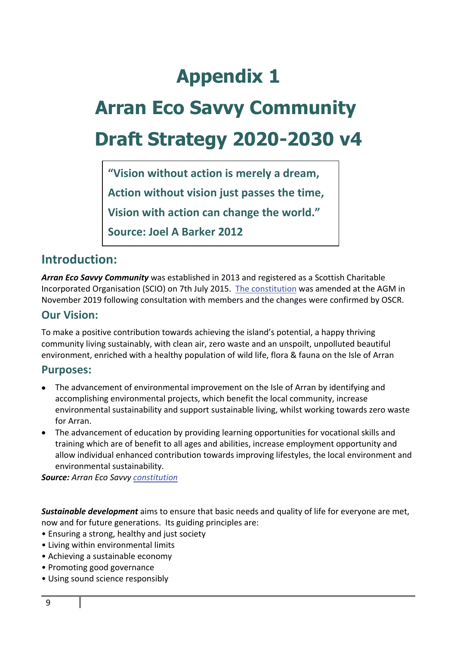## **Appendix 1**

# **Arran Eco Savvy Community Draft Strategy 2020-2030 v4**

**"Vision without action is merely a dream, Action without vision just passes the time, Vision with action can change the world." Source: Joel A Barker 2012**

## **Introduction:**

*Arran Eco Savvy Community* was established in 2013 and registered as a Scottish Charitable Incorporated Organisation (SCIO) on 7th July 2015. The constitution was amended at the AGM in November 2019 following consultation with members and the changes were confirmed by OSCR.

#### **Our Vision:**

To make a positive contribution towards achieving the island's potential, a happy thriving community living sustainably, with clean air, zero waste and an unspoilt, unpolluted beautiful environment, enriched with a healthy population of wild life, flora & fauna on the Isle of Arran

#### **Purposes:**

- The advancement of environmental improvement on the Isle of Arran by identifying and accomplishing environmental projects, which benefit the local community, increase environmental sustainability and support sustainable living, whilst working towards zero waste for Arran.
- The advancement of education by providing learning opportunities for vocational skills and training which are of benefit to all ages and abilities, increase employment opportunity and allow individual enhanced contribution towards improving lifestyles, the local environment and environmental sustainability.

*Source: Arran Eco Savvy constitution*

*Sustainable development* aims to ensure that basic needs and quality of life for everyone are met, now and for future generations. Its guiding principles are:

- Ensuring a strong, healthy and just society
- Living within environmental limits
- Achieving a sustainable economy
- Promoting good governance
- Using sound science responsibly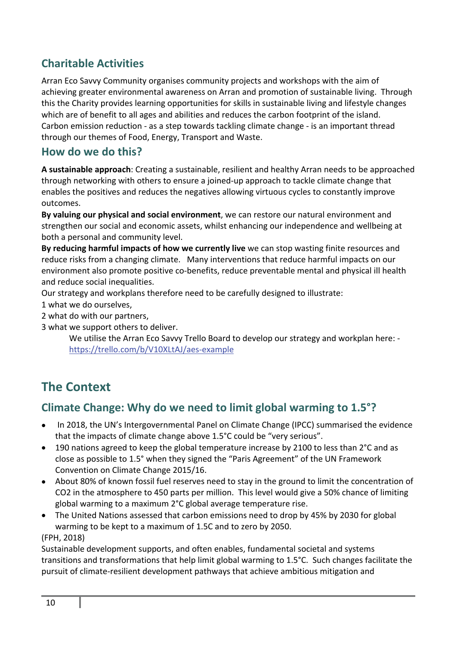## **Charitable Activities**

Arran Eco Savvy Community organises community projects and workshops with the aim of achieving greater environmental awareness on Arran and promotion of sustainable living. Through this the Charity provides learning opportunities for skills in sustainable living and lifestyle changes which are of benefit to all ages and abilities and reduces the carbon footprint of the island. Carbon emission reduction - as a step towards tackling climate change - is an important thread through our themes of Food, Energy, Transport and Waste.

#### **How do we do this?**

**A sustainable approach**: Creating a sustainable, resilient and healthy Arran needs to be approached through networking with others to ensure a joined-up approach to tackle climate change that enables the positives and reduces the negatives allowing virtuous cycles to constantly improve outcomes.

**By valuing our physical and social environment**, we can restore our natural environment and strengthen our social and economic assets, whilst enhancing our independence and wellbeing at both a personal and community level.

**By reducing harmful impacts of how we currently live** we can stop wasting finite resources and reduce risks from a changing climate. Many interventions that reduce harmful impacts on our environment also promote positive co-benefits, reduce preventable mental and physical ill health and reduce social inequalities.

Our strategy and workplans therefore need to be carefully designed to illustrate:

1 what we do ourselves,

2 what do with our partners,

3 what we support others to deliver.

We utilise the Arran Eco Savvy Trello Board to develop our strategy and workplan here: https://trello.com/b/V10XLtAJ/aes-example

## **The Context**

## **Climate Change: Why do we need to limit global warming to 1.5°?**

- In 2018, the UN's Intergovernmental Panel on Climate Change (IPCC) summarised the evidence that the impacts of climate change above 1.5°C could be "very serious".
- 190 nations agreed to keep the global temperature increase by 2100 to less than 2°C and as close as possible to 1.5° when they signed the "Paris Agreement" of the UN Framework Convention on Climate Change 2015/16.
- About 80% of known fossil fuel reserves need to stay in the ground to limit the concentration of CO2 in the atmosphere to 450 parts per million. This level would give a 50% chance of limiting global warming to a maximum 2°C global average temperature rise.
- The United Nations assessed that carbon emissions need to drop by 45% by 2030 for global warming to be kept to a maximum of 1.5C and to zero by 2050.

#### (FPH, 2018)

Sustainable development supports, and often enables, fundamental societal and systems transitions and transformations that help limit global warming to 1.5°C. Such changes facilitate the pursuit of climate-resilient development pathways that achieve ambitious mitigation and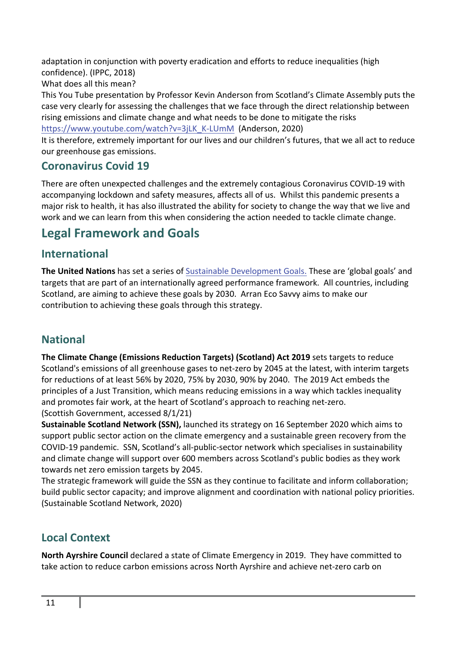adaptation in conjunction with poverty eradication and efforts to reduce inequalities (high confidence). (IPPC, 2018)

What does all this mean?

This You Tube presentation by Professor Kevin Anderson from Scotland's Climate Assembly puts the case very clearly for assessing the challenges that we face through the direct relationship between rising emissions and climate change and what needs to be done to mitigate the risks https://www.youtube.com/watch?v=3jLK\_K-LUmM (Anderson, 2020)

It is therefore, extremely important for our lives and our children's futures, that we all act to reduce our greenhouse gas emissions.

## **Coronavirus Covid 19**

There are often unexpected challenges and the extremely contagious Coronavirus COVID-19 with accompanying lockdown and safety measures, affects all of us. Whilst this pandemic presents a major risk to health, it has also illustrated the ability for society to change the way that we live and work and we can learn from this when considering the action needed to tackle climate change.

## **Legal Framework and Goals**

### **International**

**The United Nations** has set a series of Sustainable Development Goals. These are 'global goals' and targets that are part of an internationally agreed performance framework. All countries, including Scotland, are aiming to achieve these goals by 2030. Arran Eco Savvy aims to make our contribution to achieving these goals through this strategy.

## **National**

**The Climate Change (Emissions Reduction Targets) (Scotland) Act 2019** sets targets to reduce Scotland's emissions of all greenhouse gases to net-zero by 2045 at the latest, with interim targets for reductions of at least 56% by 2020, 75% by 2030, 90% by 2040. The 2019 Act embeds the principles of a Just Transition, which means reducing emissions in a way which tackles inequality and promotes fair work, at the heart of Scotland's approach to reaching net-zero. (Scottish Government, accessed 8/1/21)

**Sustainable Scotland Network (SSN),** launched its strategy on 16 September 2020 which aims to support public sector action on the climate emergency and a sustainable green recovery from the COVID-19 pandemic. SSN, Scotland's all-public-sector network which specialises in sustainability and climate change will support over 600 members across Scotland's public bodies as they work towards net zero emission targets by 2045.

The strategic framework will guide the SSN as they continue to facilitate and inform collaboration; build public sector capacity; and improve alignment and coordination with national policy priorities. (Sustainable Scotland Network, 2020)

## **Local Context**

**North Ayrshire Council** declared a state of Climate Emergency in 2019. They have committed to take action to reduce carbon emissions across North Ayrshire and achieve net-zero carb on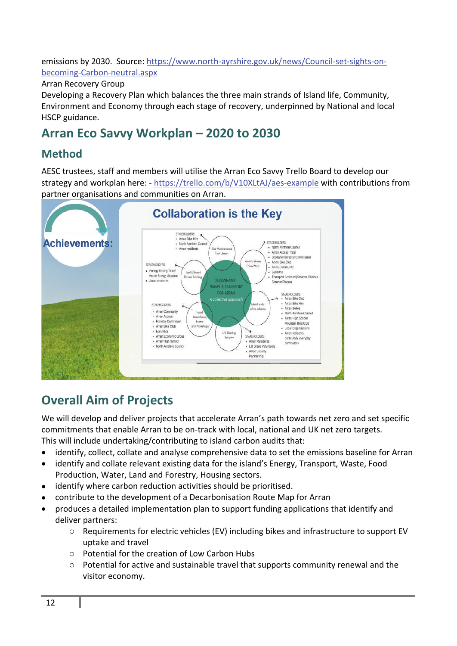emissions by 2030. Source: https://www.north-ayrshire.gov.uk/news/Council-set-sights-onbecoming-Carbon-neutral.aspx

Arran Recovery Group

Developing a Recovery Plan which balances the three main strands of Island life, Community, Environment and Economy through each stage of recovery, underpinned by National and local HSCP guidance.

## **Arran Eco Savvy Workplan – 2020 to 2030**

### **Method**

AESC trustees, staff and members will utilise the Arran Eco Savvy Trello Board to develop our strategy and workplan here: - https://trello.com/b/V10XLtAJ/aes-example with contributions from partner organisations and communities on Arran.



## **Overall Aim of Projects**

We will develop and deliver projects that accelerate Arran's path towards net zero and set specific commitments that enable Arran to be on-track with local, national and UK net zero targets. This will include undertaking/contributing to island carbon audits that:

- identify, collect, collate and analyse comprehensive data to set the emissions baseline for Arran
- identify and collate relevant existing data for the island's Energy, Transport, Waste, Food Production, Water, Land and Forestry, Housing sectors.
- identify where carbon reduction activities should be prioritised.
- contribute to the development of a Decarbonisation Route Map for Arran
- produces a detailed implementation plan to support funding applications that identify and deliver partners:
	- o Requirements for electric vehicles (EV) including bikes and infrastructure to support EV uptake and travel
	- o Potential for the creation of Low Carbon Hubs
	- o Potential for active and sustainable travel that supports community renewal and the visitor economy.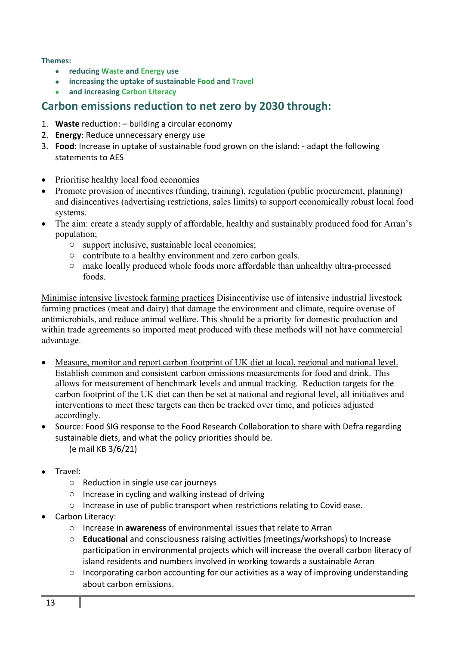**Themes:** 

- **reducing Waste and Energy use**
- **increasing the uptake of sustainable Food and Travel**
- **and increasing Carbon Literacy**

#### **Carbon emissions reduction to net zero by 2030 through:**

- 1. **Waste** reduction: building a circular economy
- 2. **Energy**: Reduce unnecessary energy use
- 3. **Food**: Increase in uptake of sustainable food grown on the island: adapt the following statements to AES
- Prioritise healthy local food economies
- Promote provision of incentives (funding, training), regulation (public procurement, planning) and disincentives (advertising restrictions, sales limits) to support economically robust local food systems.
- The aim: create a steady supply of affordable, healthy and sustainably produced food for Arran's population;
	- o support inclusive, sustainable local economies;
	- o contribute to a healthy environment and zero carbon goals.
	- o make locally produced whole foods more affordable than unhealthy ultra-processed foods.

Minimise intensive livestock farming practices Disincentivise use of intensive industrial livestock farming practices (meat and dairy) that damage the environment and climate, require overuse of antimicrobials, and reduce animal welfare. This should be a priority for domestic production and within trade agreements so imported meat produced with these methods will not have commercial advantage.

- Measure, monitor and report carbon footprint of UK diet at local, regional and national level. Establish common and consistent carbon emissions measurements for food and drink. This allows for measurement of benchmark levels and annual tracking. Reduction targets for the carbon footprint of the UK diet can then be set at national and regional level, all initiatives and interventions to meet these targets can then be tracked over time, and policies adjusted accordingly.
- Source: Food SIG response to the Food Research Collaboration to share with Defra regarding sustainable diets, and what the policy priorities should be. (e mail KB 3/6/21)
- Travel:
	- o Reduction in single use car journeys
	- o Increase in cycling and walking instead of driving
	- $\circ$  Increase in use of public transport when restrictions relating to Covid ease.
- Carbon Literacy:
	- o Increase in **awareness** of environmental issues that relate to Arran
	- o **Educational** and consciousness raising activities (meetings/workshops) to Increase participation in environmental projects which will increase the overall carbon literacy of island residents and numbers involved in working towards a sustainable Arran
	- $\circ$  Incorporating carbon accounting for our activities as a way of improving understanding about carbon emissions.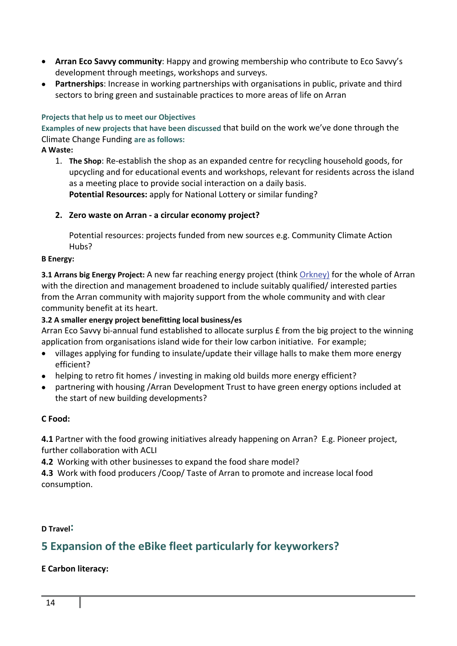- **Arran Eco Savvy community**: Happy and growing membership who contribute to Eco Savvy's development through meetings, workshops and surveys.
- **Partnerships**: Increase in working partnerships with organisations in public, private and third sectors to bring green and sustainable practices to more areas of life on Arran

#### **Projects that help us to meet our Objectives**

**Examples of new projects that have been discussed** that build on the work we've done through the Climate Change Funding **are as follows:** 

#### **A Waste:**

- 1. **The Shop**: Re-establish the shop as an expanded centre for recycling household goods, for upcycling and for educational events and workshops, relevant for residents across the island as a meeting place to provide social interaction on a daily basis. **Potential Resources:** apply for National Lottery or similar funding?
- **2. Zero waste on Arran a circular economy project?**

Potential resources: projects funded from new sources e.g. Community Climate Action Hubs?

#### **B Energy:**

**3.1 Arrans big Energy Project:** A new far reaching energy project (think Orkney) for the whole of Arran with the direction and management broadened to include suitably qualified/ interested parties from the Arran community with majority support from the whole community and with clear community benefit at its heart.

#### **3.2 A smaller energy project benefitting local business/es**

Arran Eco Savvy bi-annual fund established to allocate surplus £ from the big project to the winning application from organisations island wide for their low carbon initiative. For example;

- villages applying for funding to insulate/update their village halls to make them more energy efficient?
- helping to retro fit homes / investing in making old builds more energy efficient?
- partnering with housing /Arran Development Trust to have green energy options included at the start of new building developments?

#### **C Food:**

**4.1** Partner with the food growing initiatives already happening on Arran? E.g. Pioneer project, further collaboration with ACLI

**4.2** Working with other businesses to expand the food share model?

**4.3** Work with food producers /Coop/ Taste of Arran to promote and increase local food consumption.

**D Travel:** 

### **5 Expansion of the eBike fleet particularly for keyworkers?**

#### **E Carbon literacy:**